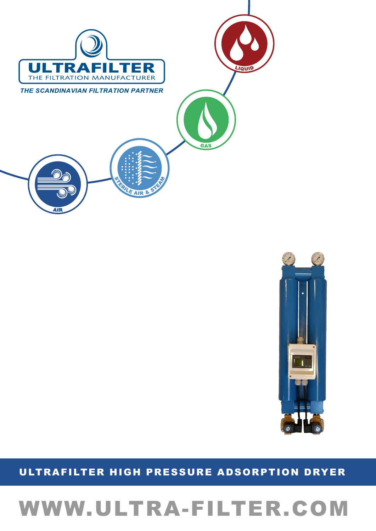# WWW.ULTRA-FILTER.COM

# ULTRAFILTER HIGH PRESSURE ADSORPTION DRYER



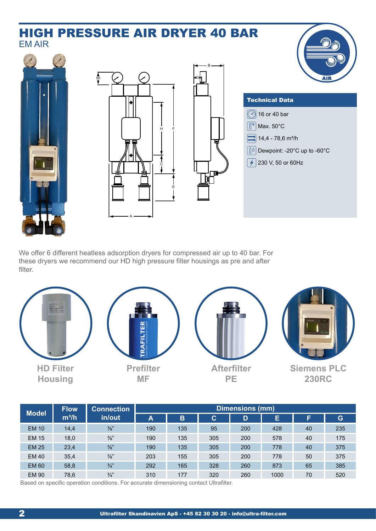# Technical Data We offer 6 different heatless adsorption dryers for compressed air up to 40 bar. For these dryers we recommend our HD high pressure filter housings as pre and after filter. HIGH PRESSURE AIR DRYER 40 BAR H F 50 A E C B G **16** or 40 bar  $\boxed{2}$  14,4 - 78,6 m<sup>3</sup>/h Dewpoint: -20°C up to -60°C  $\sqrt{2}$  230 V, 50 or 60Hz  $\sqrt{\mathbb{C}^c}$  Max. 50°C EM AIR



| <b>Model</b> | <b>Flow</b><br>$m^3/h$ | <b>Connection</b><br>in/out | Dimensions (mm) |     |     |     |      |    |     |
|--------------|------------------------|-----------------------------|-----------------|-----|-----|-----|------|----|-----|
|              |                        |                             | A               | B   | C   | D   | E    | F  | G   |
| <b>EM 10</b> | 14,4                   | $\frac{3}{8}$ "             | 190             | 135 | 95  | 200 | 428  | 40 | 235 |
| <b>EM 15</b> | 18,0                   | $\frac{3}{8}$ "             | 190             | 135 | 305 | 200 | 578  | 40 | 175 |
| <b>EM 25</b> | 23,4                   | $\frac{3}{8}$ "             | 190             | 135 | 305 | 200 | 778  | 40 | 375 |
| <b>EM 40</b> | 35,4                   | $\frac{3}{8}$ "             | 203             | 155 | 305 | 200 | 778  | 50 | 375 |
| <b>EM 60</b> | 58,8                   | $\frac{3}{4}$               | 292             | 165 | 328 | 260 | 873  | 65 | 385 |
| <b>EM 90</b> | 78,6                   | $\frac{3}{4}$               | 310             | 177 | 320 | 260 | 1000 | 70 | 520 |

Based on specific operation conditions. For accurate dimensioning contact Ultrafilter.